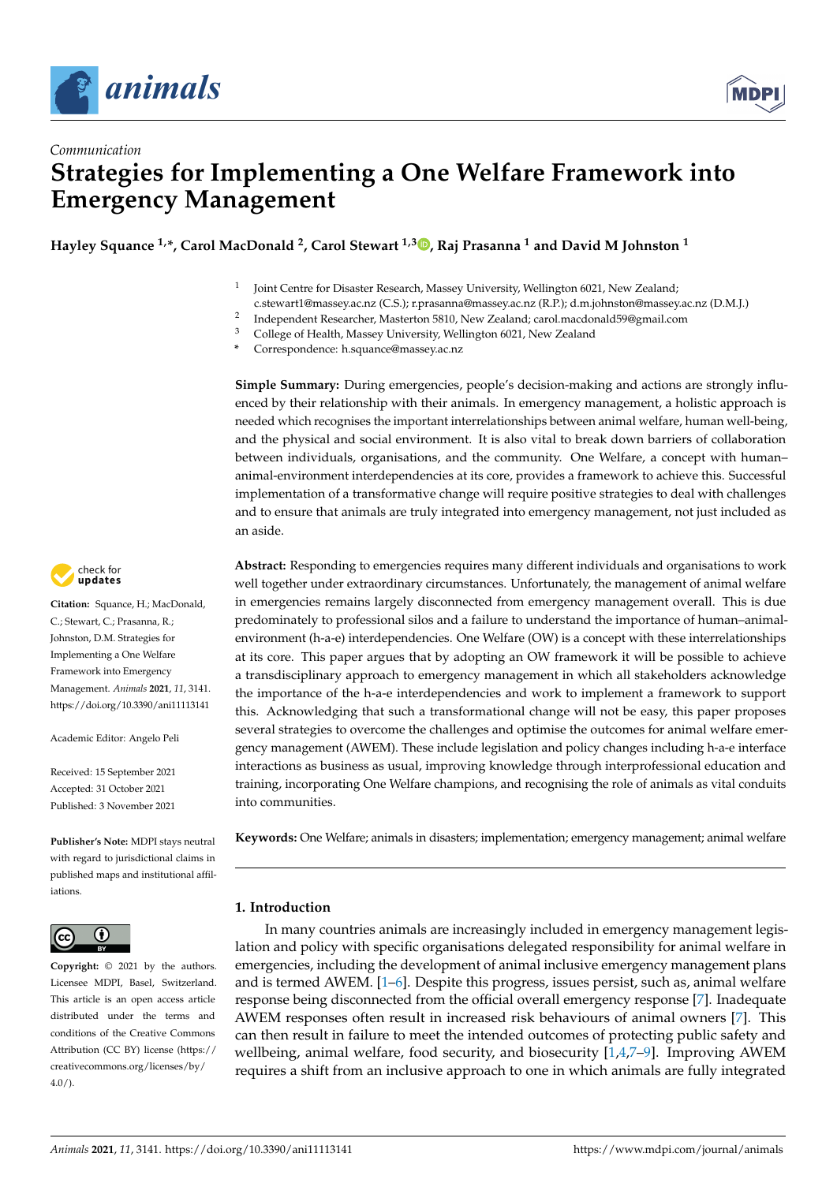



# *Communication* **Strategies for Implementing a One Welfare Framework into Emergency Management**

**Hayley Squance 1,\*, Carol MacDonald <sup>2</sup> , Carol Stewart 1,3 [,](https://orcid.org/0000-0002-3781-6308) Raj Prasanna <sup>1</sup> and David M Johnston <sup>1</sup>**

- 1 Joint Centre for Disaster Research, Massey University, Wellington 6021, New Zealand;
- c.stewart1@massey.ac.nz (C.S.); r.prasanna@massey.ac.nz (R.P.); d.m.johnston@massey.ac.nz (D.M.J.)
- 2 Independent Researcher, Masterton 5810, New Zealand; carol.macdonald59@gmail.com
- <sup>3</sup> College of Health, Massey University, Wellington 6021, New Zealand
- **\*** Correspondence: h.squance@massey.ac.nz

**Simple Summary:** During emergencies, people's decision-making and actions are strongly influenced by their relationship with their animals. In emergency management, a holistic approach is needed which recognises the important interrelationships between animal welfare, human well-being, and the physical and social environment. It is also vital to break down barriers of collaboration between individuals, organisations, and the community. One Welfare, a concept with human– animal-environment interdependencies at its core, provides a framework to achieve this. Successful implementation of a transformative change will require positive strategies to deal with challenges and to ensure that animals are truly integrated into emergency management, not just included as an aside.

**Abstract:** Responding to emergencies requires many different individuals and organisations to work well together under extraordinary circumstances. Unfortunately, the management of animal welfare in emergencies remains largely disconnected from emergency management overall. This is due predominately to professional silos and a failure to understand the importance of human–animalenvironment (h-a-e) interdependencies. One Welfare (OW) is a concept with these interrelationships at its core. This paper argues that by adopting an OW framework it will be possible to achieve a transdisciplinary approach to emergency management in which all stakeholders acknowledge the importance of the h-a-e interdependencies and work to implement a framework to support this. Acknowledging that such a transformational change will not be easy, this paper proposes several strategies to overcome the challenges and optimise the outcomes for animal welfare emergency management (AWEM). These include legislation and policy changes including h-a-e interface interactions as business as usual, improving knowledge through interprofessional education and training, incorporating One Welfare champions, and recognising the role of animals as vital conduits into communities.

**Keywords:** One Welfare; animals in disasters; implementation; emergency management; animal welfare

# **1. Introduction**

In many countries animals are increasingly included in emergency management legislation and policy with specific organisations delegated responsibility for animal welfare in emergencies, including the development of animal inclusive emergency management plans and is termed AWEM. [\[1](#page-8-0)[–6\]](#page-8-1). Despite this progress, issues persist, such as, animal welfare response being disconnected from the official overall emergency response [\[7\]](#page-8-2). Inadequate AWEM responses often result in increased risk behaviours of animal owners [\[7\]](#page-8-2). This can then result in failure to meet the intended outcomes of protecting public safety and wellbeing, animal welfare, food security, and biosecurity [\[1,](#page-8-0)[4](#page-8-3)[,7](#page-8-2)[–9\]](#page-8-4). Improving AWEM requires a shift from an inclusive approach to one in which animals are fully integrated



**Citation:** Squance, H.; MacDonald, C.; Stewart, C.; Prasanna, R.; Johnston, D.M. Strategies for Implementing a One Welfare Framework into Emergency Management. *Animals* **2021**, *11*, 3141. <https://doi.org/10.3390/ani11113141>

Academic Editor: Angelo Peli

Received: 15 September 2021 Accepted: 31 October 2021 Published: 3 November 2021

**Publisher's Note:** MDPI stays neutral with regard to jurisdictional claims in published maps and institutional affiliations.



**Copyright:** © 2021 by the authors. Licensee MDPI, Basel, Switzerland. This article is an open access article distributed under the terms and conditions of the Creative Commons Attribution (CC BY) license (https:/[/](https://creativecommons.org/licenses/by/4.0/) [creativecommons.org/licenses/by/](https://creativecommons.org/licenses/by/4.0/)  $4.0/$ ).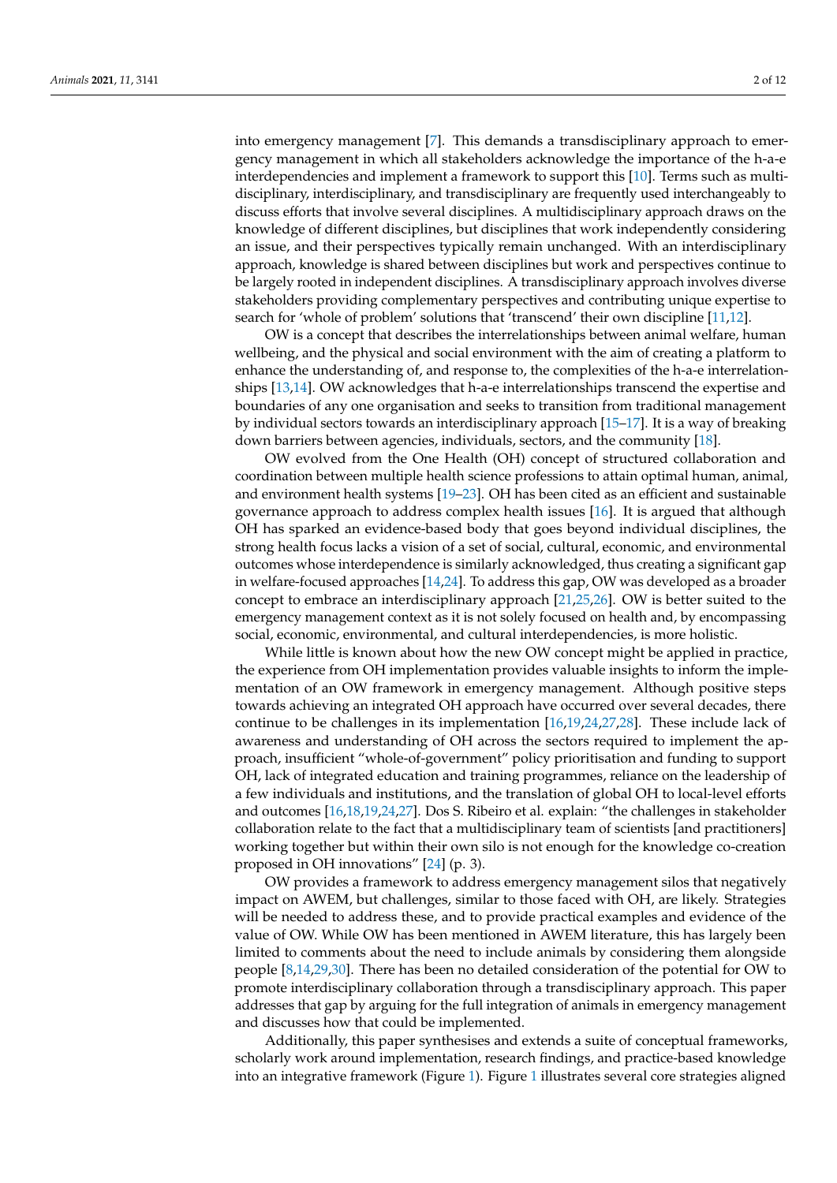into emergency management [\[7\]](#page-8-2). This demands a transdisciplinary approach to emergency management in which all stakeholders acknowledge the importance of the h-a-e interdependencies and implement a framework to support this [\[10\]](#page-8-5). Terms such as multidisciplinary, interdisciplinary, and transdisciplinary are frequently used interchangeably to discuss efforts that involve several disciplines. A multidisciplinary approach draws on the knowledge of different disciplines, but disciplines that work independently considering an issue, and their perspectives typically remain unchanged. With an interdisciplinary approach, knowledge is shared between disciplines but work and perspectives continue to be largely rooted in independent disciplines. A transdisciplinary approach involves diverse stakeholders providing complementary perspectives and contributing unique expertise to search for 'whole of problem' solutions that 'transcend' their own discipline [\[11,](#page-8-6)[12\]](#page-8-7).

OW is a concept that describes the interrelationships between animal welfare, human wellbeing, and the physical and social environment with the aim of creating a platform to enhance the understanding of, and response to, the complexities of the h-a-e interrelationships [\[13,](#page-8-8)[14\]](#page-8-9). OW acknowledges that h-a-e interrelationships transcend the expertise and boundaries of any one organisation and seeks to transition from traditional management by individual sectors towards an interdisciplinary approach [\[15](#page-8-10)[–17\]](#page-8-11). It is a way of breaking down barriers between agencies, individuals, sectors, and the community [\[18\]](#page-8-12).

OW evolved from the One Health (OH) concept of structured collaboration and coordination between multiple health science professions to attain optimal human, animal, and environment health systems [\[19](#page-8-13)[–23\]](#page-8-14). OH has been cited as an efficient and sustainable governance approach to address complex health issues [\[16\]](#page-8-15). It is argued that although OH has sparked an evidence-based body that goes beyond individual disciplines, the strong health focus lacks a vision of a set of social, cultural, economic, and environmental outcomes whose interdependence is similarly acknowledged, thus creating a significant gap in welfare-focused approaches [\[14,](#page-8-9)[24\]](#page-8-16). To address this gap, OW was developed as a broader concept to embrace an interdisciplinary approach [\[21](#page-8-17)[,25](#page-8-18)[,26\]](#page-8-19). OW is better suited to the emergency management context as it is not solely focused on health and, by encompassing social, economic, environmental, and cultural interdependencies, is more holistic.

While little is known about how the new OW concept might be applied in practice, the experience from OH implementation provides valuable insights to inform the implementation of an OW framework in emergency management. Although positive steps towards achieving an integrated OH approach have occurred over several decades, there continue to be challenges in its implementation [\[16](#page-8-15)[,19](#page-8-13)[,24](#page-8-16)[,27](#page-9-0)[,28\]](#page-9-1). These include lack of awareness and understanding of OH across the sectors required to implement the approach, insufficient "whole-of-government" policy prioritisation and funding to support OH, lack of integrated education and training programmes, reliance on the leadership of a few individuals and institutions, and the translation of global OH to local-level efforts and outcomes [\[16,](#page-8-15)[18,](#page-8-12)[19](#page-8-13)[,24](#page-8-16)[,27\]](#page-9-0). Dos S. Ribeiro et al. explain: "the challenges in stakeholder collaboration relate to the fact that a multidisciplinary team of scientists [and practitioners] working together but within their own silo is not enough for the knowledge co-creation proposed in OH innovations" [\[24\]](#page-8-16) (p. 3).

OW provides a framework to address emergency management silos that negatively impact on AWEM, but challenges, similar to those faced with OH, are likely. Strategies will be needed to address these, and to provide practical examples and evidence of the value of OW. While OW has been mentioned in AWEM literature, this has largely been limited to comments about the need to include animals by considering them alongside people [\[8](#page-8-20)[,14,](#page-8-9)[29](#page-9-2)[,30\]](#page-9-3). There has been no detailed consideration of the potential for OW to promote interdisciplinary collaboration through a transdisciplinary approach. This paper addresses that gap by arguing for the full integration of animals in emergency management and discusses how that could be implemented.

Additionally, this paper synthesises and extends a suite of conceptual frameworks, scholarly work around implementation, research findings, and practice-based knowledge into an integrative framework (Figure [1\)](#page-2-0). Figure [1](#page-2-0) illustrates several core strategies aligned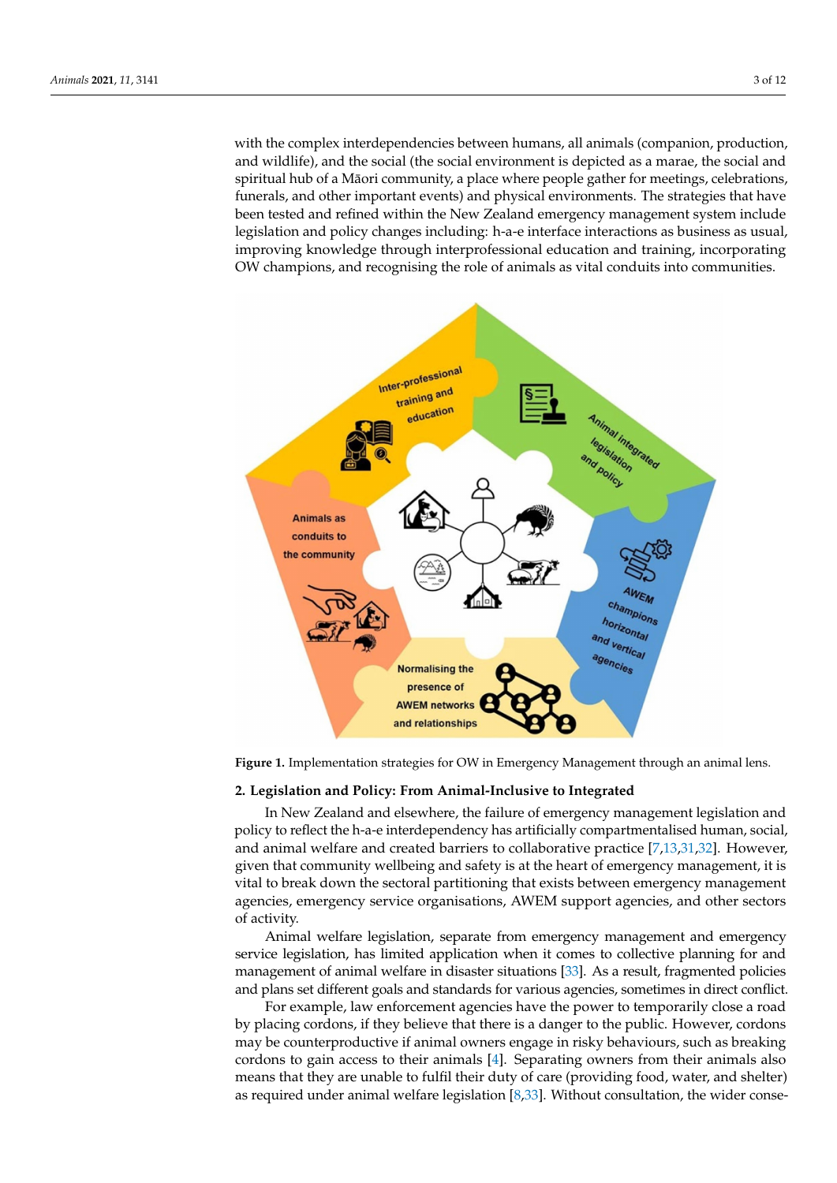with the complex interdependencies between humans, all animals (companion, production, and wildlife), and the social (the social environment is depicted as a marae, the social and spiritual hub of a Māori community, a place where people gather for meetings, celebrations, funerals, and other important events) and physical environments. The strategies that have been tested and refined within the New Zealand emergency management system include legislation and policy changes including: h-a-e interface interactions as business as usual, improving knowledge through interprofessional education and training, incorporating OW champions, and recognising the role of animals as vital conduits into communities.

<span id="page-2-0"></span>

**Figure 1.** Implementation strategies for OW in Emergency Management through an animal lens.

#### **2. Legislation and Policy: From Animal-Inclusive to Integrated**

In New Zealand and elsewhere, the failure of emergency management legislation and policy to reflect the h-a-e interdependency has artificially compartmentalised human, social, and animal welfare and created barriers to collaborative practice [\[7](#page-8-2)[,13](#page-8-8)[,31](#page-9-4)[,32\]](#page-9-5). However, given that community wellbeing and safety is at the heart of emergency management, it is vital to break down the sectoral partitioning that exists between emergency management agencies, emergency service organisations, AWEM support agencies, and other sectors of activity.

Animal welfare legislation, separate from emergency management and emergency service legislation, has limited application when it comes to collective planning for and management of animal welfare in disaster situations [\[33\]](#page-9-6). As a result, fragmented policies and plans set different goals and standards for various agencies, sometimes in direct conflict.

For example, law enforcement agencies have the power to temporarily close a road by placing cordons, if they believe that there is a danger to the public. However, cordons may be counterproductive if animal owners engage in risky behaviours, such as breaking cordons to gain access to their animals [\[4\]](#page-8-3). Separating owners from their animals also means that they are unable to fulfil their duty of care (providing food, water, and shelter) as required under animal welfare legislation [\[8,](#page-8-20)[33\]](#page-9-6). Without consultation, the wider conse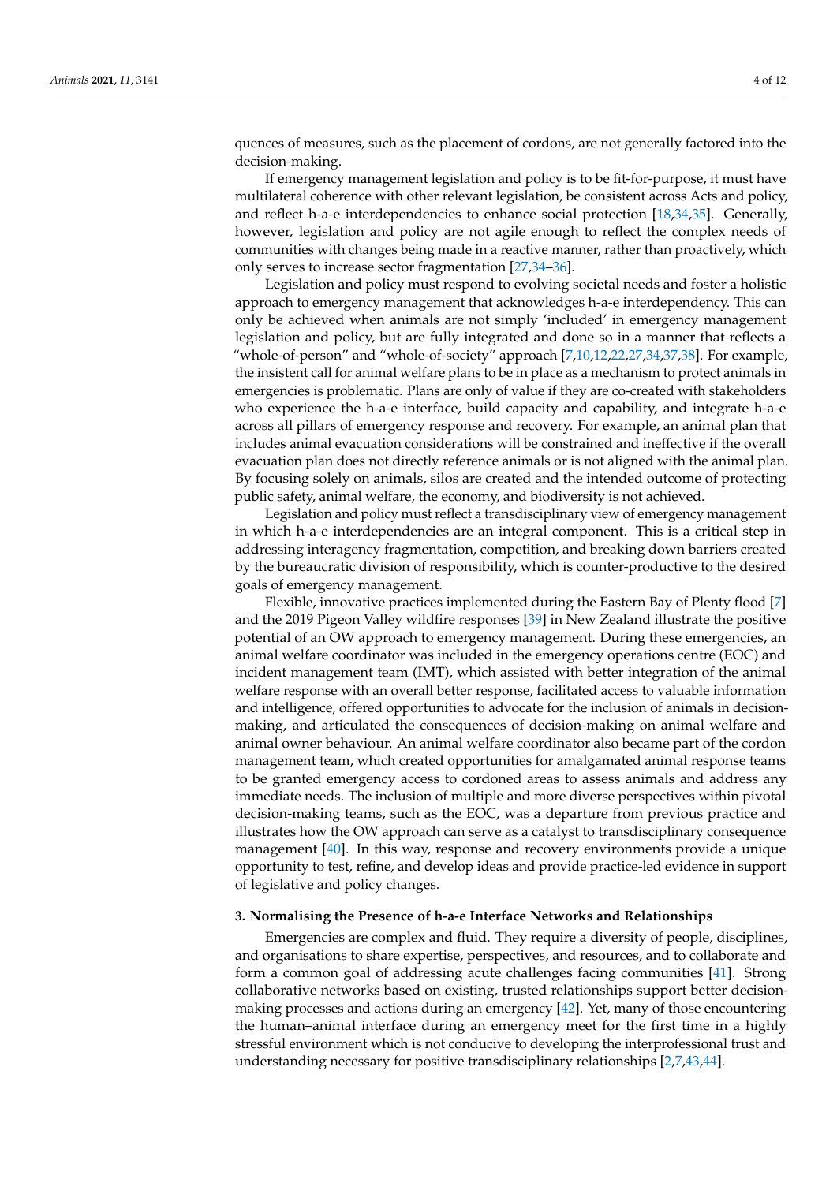quences of measures, such as the placement of cordons, are not generally factored into the decision-making.

If emergency management legislation and policy is to be fit-for-purpose, it must have multilateral coherence with other relevant legislation, be consistent across Acts and policy, and reflect h-a-e interdependencies to enhance social protection [\[18](#page-8-12)[,34](#page-9-7)[,35\]](#page-9-8). Generally, however, legislation and policy are not agile enough to reflect the complex needs of communities with changes being made in a reactive manner, rather than proactively, which only serves to increase sector fragmentation [\[27](#page-9-0)[,34](#page-9-7)[–36\]](#page-9-9).

Legislation and policy must respond to evolving societal needs and foster a holistic approach to emergency management that acknowledges h-a-e interdependency. This can only be achieved when animals are not simply 'included' in emergency management legislation and policy, but are fully integrated and done so in a manner that reflects a "whole-of-person" and "whole-of-society" approach [\[7](#page-8-2)[,10](#page-8-5)[,12](#page-8-7)[,22](#page-8-21)[,27,](#page-9-0)[34,](#page-9-7)[37,](#page-9-10)[38\]](#page-9-11). For example, the insistent call for animal welfare plans to be in place as a mechanism to protect animals in emergencies is problematic. Plans are only of value if they are co-created with stakeholders who experience the h-a-e interface, build capacity and capability, and integrate h-a-e across all pillars of emergency response and recovery. For example, an animal plan that includes animal evacuation considerations will be constrained and ineffective if the overall evacuation plan does not directly reference animals or is not aligned with the animal plan. By focusing solely on animals, silos are created and the intended outcome of protecting public safety, animal welfare, the economy, and biodiversity is not achieved.

Legislation and policy must reflect a transdisciplinary view of emergency management in which h-a-e interdependencies are an integral component. This is a critical step in addressing interagency fragmentation, competition, and breaking down barriers created by the bureaucratic division of responsibility, which is counter-productive to the desired goals of emergency management.

Flexible, innovative practices implemented during the Eastern Bay of Plenty flood [\[7\]](#page-8-2) and the 2019 Pigeon Valley wildfire responses [\[39\]](#page-9-12) in New Zealand illustrate the positive potential of an OW approach to emergency management. During these emergencies, an animal welfare coordinator was included in the emergency operations centre (EOC) and incident management team (IMT), which assisted with better integration of the animal welfare response with an overall better response, facilitated access to valuable information and intelligence, offered opportunities to advocate for the inclusion of animals in decisionmaking, and articulated the consequences of decision-making on animal welfare and animal owner behaviour. An animal welfare coordinator also became part of the cordon management team, which created opportunities for amalgamated animal response teams to be granted emergency access to cordoned areas to assess animals and address any immediate needs. The inclusion of multiple and more diverse perspectives within pivotal decision-making teams, such as the EOC, was a departure from previous practice and illustrates how the OW approach can serve as a catalyst to transdisciplinary consequence management [\[40\]](#page-9-13). In this way, response and recovery environments provide a unique opportunity to test, refine, and develop ideas and provide practice-led evidence in support of legislative and policy changes.

#### **3. Normalising the Presence of h-a-e Interface Networks and Relationships**

Emergencies are complex and fluid. They require a diversity of people, disciplines, and organisations to share expertise, perspectives, and resources, and to collaborate and form a common goal of addressing acute challenges facing communities [\[41\]](#page-9-14). Strong collaborative networks based on existing, trusted relationships support better decisionmaking processes and actions during an emergency [\[42\]](#page-9-15). Yet, many of those encountering the human–animal interface during an emergency meet for the first time in a highly stressful environment which is not conducive to developing the interprofessional trust and understanding necessary for positive transdisciplinary relationships [\[2](#page-8-22)[,7](#page-8-2)[,43,](#page-9-16)[44\]](#page-9-17).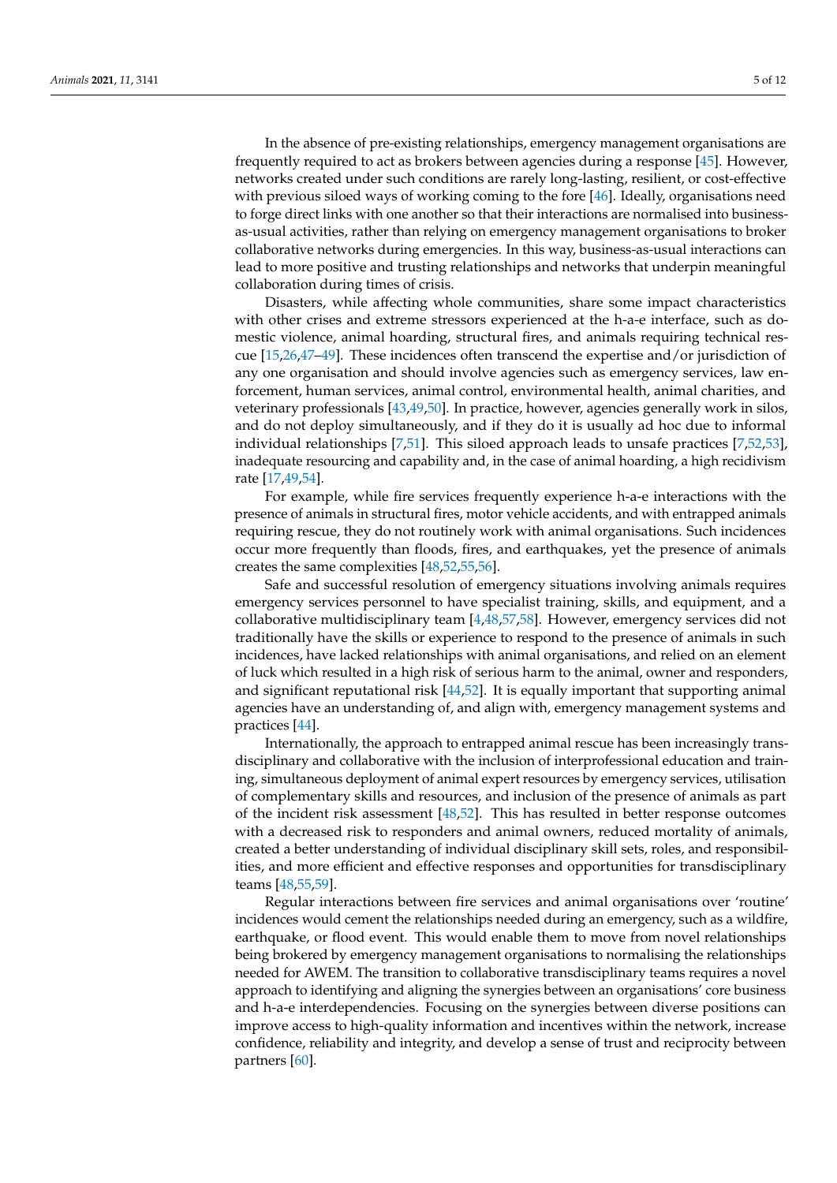In the absence of pre-existing relationships, emergency management organisations are frequently required to act as brokers between agencies during a response [\[45\]](#page-9-18). However, networks created under such conditions are rarely long-lasting, resilient, or cost-effective with previous siloed ways of working coming to the fore [\[46\]](#page-9-19). Ideally, organisations need to forge direct links with one another so that their interactions are normalised into businessas-usual activities, rather than relying on emergency management organisations to broker collaborative networks during emergencies. In this way, business-as-usual interactions can lead to more positive and trusting relationships and networks that underpin meaningful collaboration during times of crisis.

Disasters, while affecting whole communities, share some impact characteristics with other crises and extreme stressors experienced at the h-a-e interface, such as domestic violence, animal hoarding, structural fires, and animals requiring technical rescue [\[15](#page-8-10)[,26](#page-8-19)[,47–](#page-9-20)[49\]](#page-9-21). These incidences often transcend the expertise and/or jurisdiction of any one organisation and should involve agencies such as emergency services, law enforcement, human services, animal control, environmental health, animal charities, and veterinary professionals [\[43,](#page-9-16)[49,](#page-9-21)[50\]](#page-9-22). In practice, however, agencies generally work in silos, and do not deploy simultaneously, and if they do it is usually ad hoc due to informal individual relationships [\[7](#page-8-2)[,51\]](#page-9-23). This siloed approach leads to unsafe practices [\[7,](#page-8-2)[52,](#page-9-24)[53\]](#page-9-25), inadequate resourcing and capability and, in the case of animal hoarding, a high recidivism rate [\[17](#page-8-11)[,49](#page-9-21)[,54\]](#page-10-0).

For example, while fire services frequently experience h-a-e interactions with the presence of animals in structural fires, motor vehicle accidents, and with entrapped animals requiring rescue, they do not routinely work with animal organisations. Such incidences occur more frequently than floods, fires, and earthquakes, yet the presence of animals creates the same complexities [\[48](#page-9-26)[,52,](#page-9-24)[55,](#page-10-1)[56\]](#page-10-2).

Safe and successful resolution of emergency situations involving animals requires emergency services personnel to have specialist training, skills, and equipment, and a collaborative multidisciplinary team [\[4](#page-8-3)[,48](#page-9-26)[,57](#page-10-3)[,58\]](#page-10-4). However, emergency services did not traditionally have the skills or experience to respond to the presence of animals in such incidences, have lacked relationships with animal organisations, and relied on an element of luck which resulted in a high risk of serious harm to the animal, owner and responders, and significant reputational risk [\[44,](#page-9-17)[52\]](#page-9-24). It is equally important that supporting animal agencies have an understanding of, and align with, emergency management systems and practices [\[44\]](#page-9-17).

Internationally, the approach to entrapped animal rescue has been increasingly transdisciplinary and collaborative with the inclusion of interprofessional education and training, simultaneous deployment of animal expert resources by emergency services, utilisation of complementary skills and resources, and inclusion of the presence of animals as part of the incident risk assessment [\[48](#page-9-26)[,52\]](#page-9-24). This has resulted in better response outcomes with a decreased risk to responders and animal owners, reduced mortality of animals, created a better understanding of individual disciplinary skill sets, roles, and responsibilities, and more efficient and effective responses and opportunities for transdisciplinary teams [\[48,](#page-9-26)[55,](#page-10-1)[59\]](#page-10-5).

Regular interactions between fire services and animal organisations over 'routine' incidences would cement the relationships needed during an emergency, such as a wildfire, earthquake, or flood event. This would enable them to move from novel relationships being brokered by emergency management organisations to normalising the relationships needed for AWEM. The transition to collaborative transdisciplinary teams requires a novel approach to identifying and aligning the synergies between an organisations' core business and h-a-e interdependencies. Focusing on the synergies between diverse positions can improve access to high-quality information and incentives within the network, increase confidence, reliability and integrity, and develop a sense of trust and reciprocity between partners [\[60\]](#page-10-6).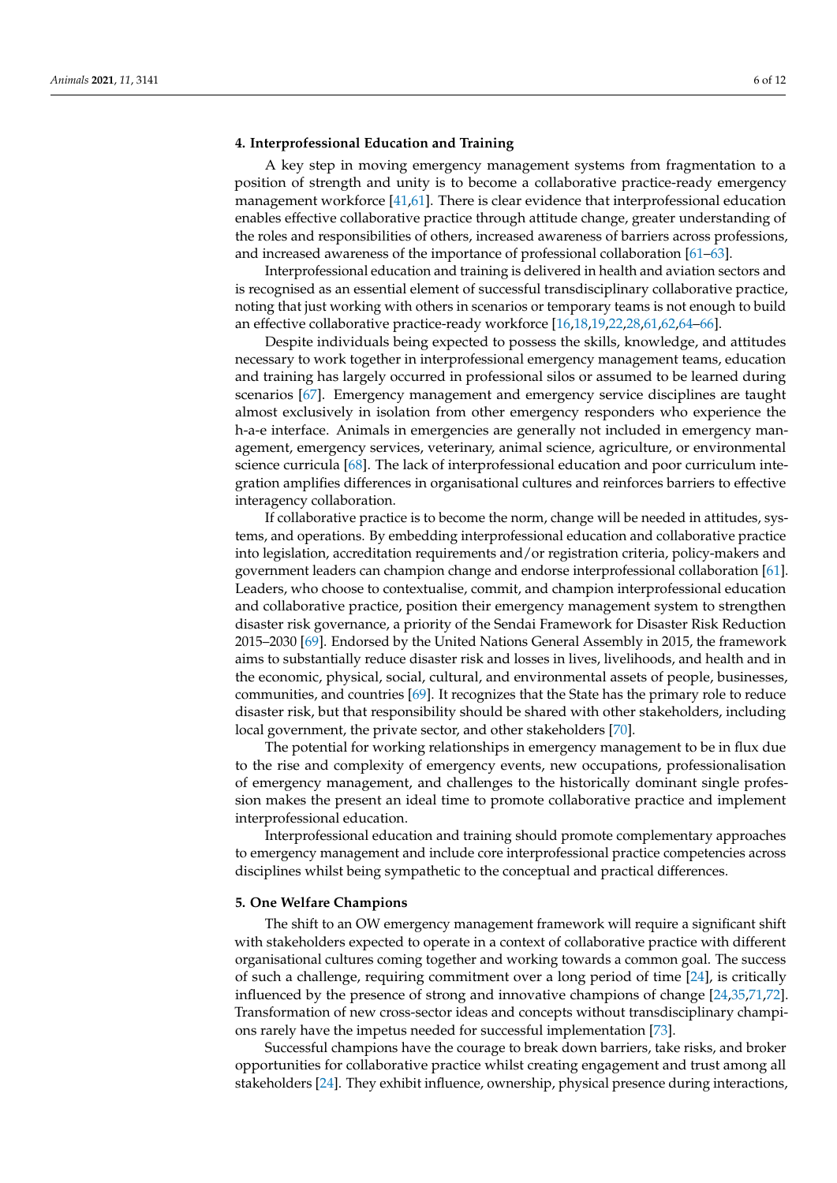### **4. Interprofessional Education and Training**

A key step in moving emergency management systems from fragmentation to a position of strength and unity is to become a collaborative practice-ready emergency management workforce [\[41,](#page-9-14)[61\]](#page-10-7). There is clear evidence that interprofessional education enables effective collaborative practice through attitude change, greater understanding of the roles and responsibilities of others, increased awareness of barriers across professions, and increased awareness of the importance of professional collaboration [\[61–](#page-10-7)[63\]](#page-10-8).

Interprofessional education and training is delivered in health and aviation sectors and is recognised as an essential element of successful transdisciplinary collaborative practice, noting that just working with others in scenarios or temporary teams is not enough to build an effective collaborative practice-ready workforce [\[16](#page-8-15)[,18](#page-8-12)[,19](#page-8-13)[,22,](#page-8-21)[28,](#page-9-1)[61,](#page-10-7)[62,](#page-10-9)[64](#page-10-10)[–66\]](#page-10-11).

Despite individuals being expected to possess the skills, knowledge, and attitudes necessary to work together in interprofessional emergency management teams, education and training has largely occurred in professional silos or assumed to be learned during scenarios [\[67\]](#page-10-12). Emergency management and emergency service disciplines are taught almost exclusively in isolation from other emergency responders who experience the h-a-e interface. Animals in emergencies are generally not included in emergency management, emergency services, veterinary, animal science, agriculture, or environmental science curricula [\[68\]](#page-10-13). The lack of interprofessional education and poor curriculum integration amplifies differences in organisational cultures and reinforces barriers to effective interagency collaboration.

If collaborative practice is to become the norm, change will be needed in attitudes, systems, and operations. By embedding interprofessional education and collaborative practice into legislation, accreditation requirements and/or registration criteria, policy-makers and government leaders can champion change and endorse interprofessional collaboration [\[61\]](#page-10-7). Leaders, who choose to contextualise, commit, and champion interprofessional education and collaborative practice, position their emergency management system to strengthen disaster risk governance, a priority of the Sendai Framework for Disaster Risk Reduction 2015–2030 [\[69\]](#page-10-14). Endorsed by the United Nations General Assembly in 2015, the framework aims to substantially reduce disaster risk and losses in lives, livelihoods, and health and in the economic, physical, social, cultural, and environmental assets of people, businesses, communities, and countries [\[69\]](#page-10-14). It recognizes that the State has the primary role to reduce disaster risk, but that responsibility should be shared with other stakeholders, including local government, the private sector, and other stakeholders [\[70\]](#page-10-15).

The potential for working relationships in emergency management to be in flux due to the rise and complexity of emergency events, new occupations, professionalisation of emergency management, and challenges to the historically dominant single profession makes the present an ideal time to promote collaborative practice and implement interprofessional education.

Interprofessional education and training should promote complementary approaches to emergency management and include core interprofessional practice competencies across disciplines whilst being sympathetic to the conceptual and practical differences.

## **5. One Welfare Champions**

The shift to an OW emergency management framework will require a significant shift with stakeholders expected to operate in a context of collaborative practice with different organisational cultures coming together and working towards a common goal. The success of such a challenge, requiring commitment over a long period of time [\[24\]](#page-8-16), is critically influenced by the presence of strong and innovative champions of change [\[24](#page-8-16)[,35,](#page-9-8)[71,](#page-10-16)[72\]](#page-10-17). Transformation of new cross-sector ideas and concepts without transdisciplinary champions rarely have the impetus needed for successful implementation [\[73\]](#page-10-18).

Successful champions have the courage to break down barriers, take risks, and broker opportunities for collaborative practice whilst creating engagement and trust among all stakeholders [\[24\]](#page-8-16). They exhibit influence, ownership, physical presence during interactions,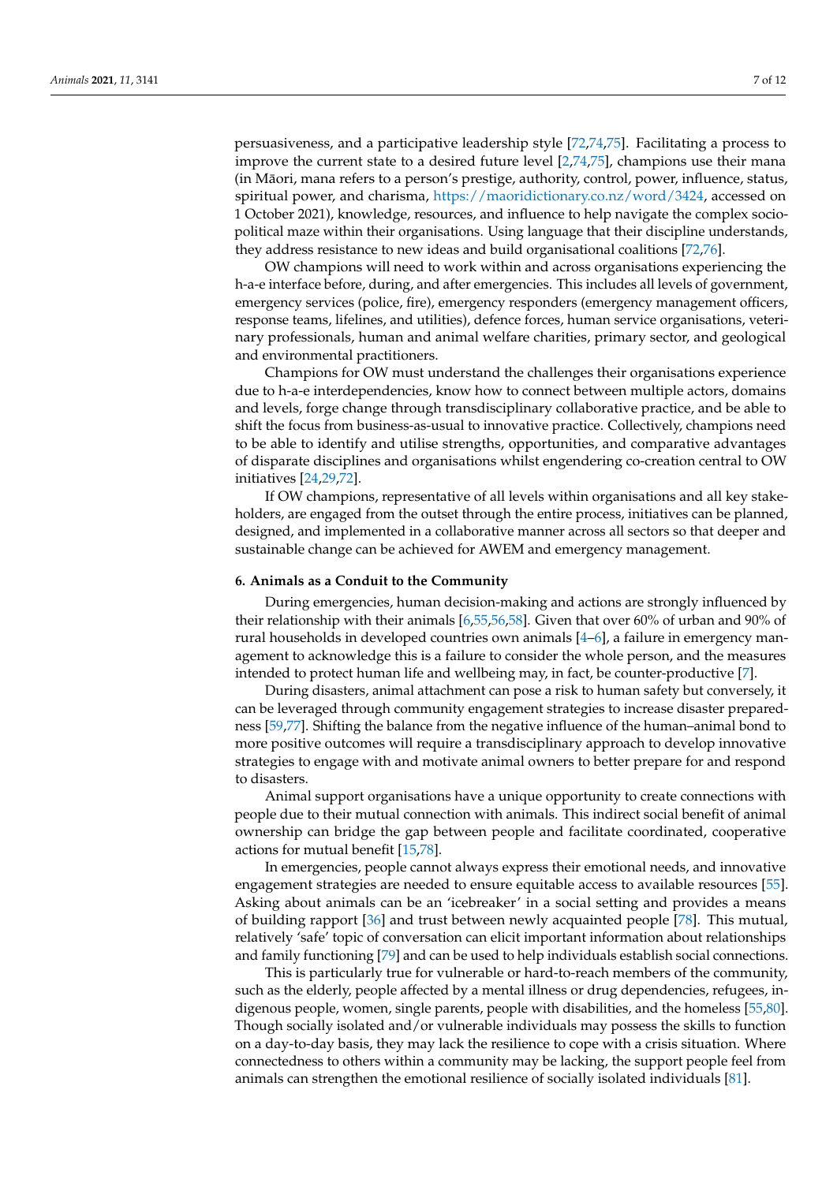persuasiveness, and a participative leadership style [\[72,](#page-10-17)[74,](#page-10-19)[75\]](#page-10-20). Facilitating a process to improve the current state to a desired future level [\[2,](#page-8-22)[74,](#page-10-19)[75\]](#page-10-20), champions use their mana (in Maori, mana refers to a person's prestige, authority, control, power, influence, status, ¯ spiritual power, and charisma, [https://maoridictionary.co.nz/word/3424,](https://maoridictionary.co.nz/word/3424) accessed on 1 October 2021), knowledge, resources, and influence to help navigate the complex sociopolitical maze within their organisations. Using language that their discipline understands, they address resistance to new ideas and build organisational coalitions [\[72](#page-10-17)[,76\]](#page-10-21).

OW champions will need to work within and across organisations experiencing the h-a-e interface before, during, and after emergencies. This includes all levels of government, emergency services (police, fire), emergency responders (emergency management officers, response teams, lifelines, and utilities), defence forces, human service organisations, veterinary professionals, human and animal welfare charities, primary sector, and geological and environmental practitioners.

Champions for OW must understand the challenges their organisations experience due to h-a-e interdependencies, know how to connect between multiple actors, domains and levels, forge change through transdisciplinary collaborative practice, and be able to shift the focus from business-as-usual to innovative practice. Collectively, champions need to be able to identify and utilise strengths, opportunities, and comparative advantages of disparate disciplines and organisations whilst engendering co-creation central to OW initiatives [\[24,](#page-8-16)[29](#page-9-2)[,72\]](#page-10-17).

If OW champions, representative of all levels within organisations and all key stakeholders, are engaged from the outset through the entire process, initiatives can be planned, designed, and implemented in a collaborative manner across all sectors so that deeper and sustainable change can be achieved for AWEM and emergency management.

#### **6. Animals as a Conduit to the Community**

During emergencies, human decision-making and actions are strongly influenced by their relationship with their animals [\[6,](#page-8-1)[55](#page-10-1)[,56](#page-10-2)[,58\]](#page-10-4). Given that over 60% of urban and 90% of rural households in developed countries own animals [\[4–](#page-8-3)[6\]](#page-8-1), a failure in emergency management to acknowledge this is a failure to consider the whole person, and the measures intended to protect human life and wellbeing may, in fact, be counter-productive [\[7\]](#page-8-2).

During disasters, animal attachment can pose a risk to human safety but conversely, it can be leveraged through community engagement strategies to increase disaster preparedness [\[59,](#page-10-5)[77\]](#page-10-22). Shifting the balance from the negative influence of the human–animal bond to more positive outcomes will require a transdisciplinary approach to develop innovative strategies to engage with and motivate animal owners to better prepare for and respond to disasters.

Animal support organisations have a unique opportunity to create connections with people due to their mutual connection with animals. This indirect social benefit of animal ownership can bridge the gap between people and facilitate coordinated, cooperative actions for mutual benefit [\[15](#page-8-10)[,78\]](#page-10-23).

In emergencies, people cannot always express their emotional needs, and innovative engagement strategies are needed to ensure equitable access to available resources [\[55\]](#page-10-1). Asking about animals can be an 'icebreaker' in a social setting and provides a means of building rapport [\[36\]](#page-9-9) and trust between newly acquainted people [\[78\]](#page-10-23). This mutual, relatively 'safe' topic of conversation can elicit important information about relationships and family functioning [\[79\]](#page-11-0) and can be used to help individuals establish social connections.

This is particularly true for vulnerable or hard-to-reach members of the community, such as the elderly, people affected by a mental illness or drug dependencies, refugees, indigenous people, women, single parents, people with disabilities, and the homeless [\[55](#page-10-1)[,80\]](#page-11-1). Though socially isolated and/or vulnerable individuals may possess the skills to function on a day-to-day basis, they may lack the resilience to cope with a crisis situation. Where connectedness to others within a community may be lacking, the support people feel from animals can strengthen the emotional resilience of socially isolated individuals [\[81\]](#page-11-2).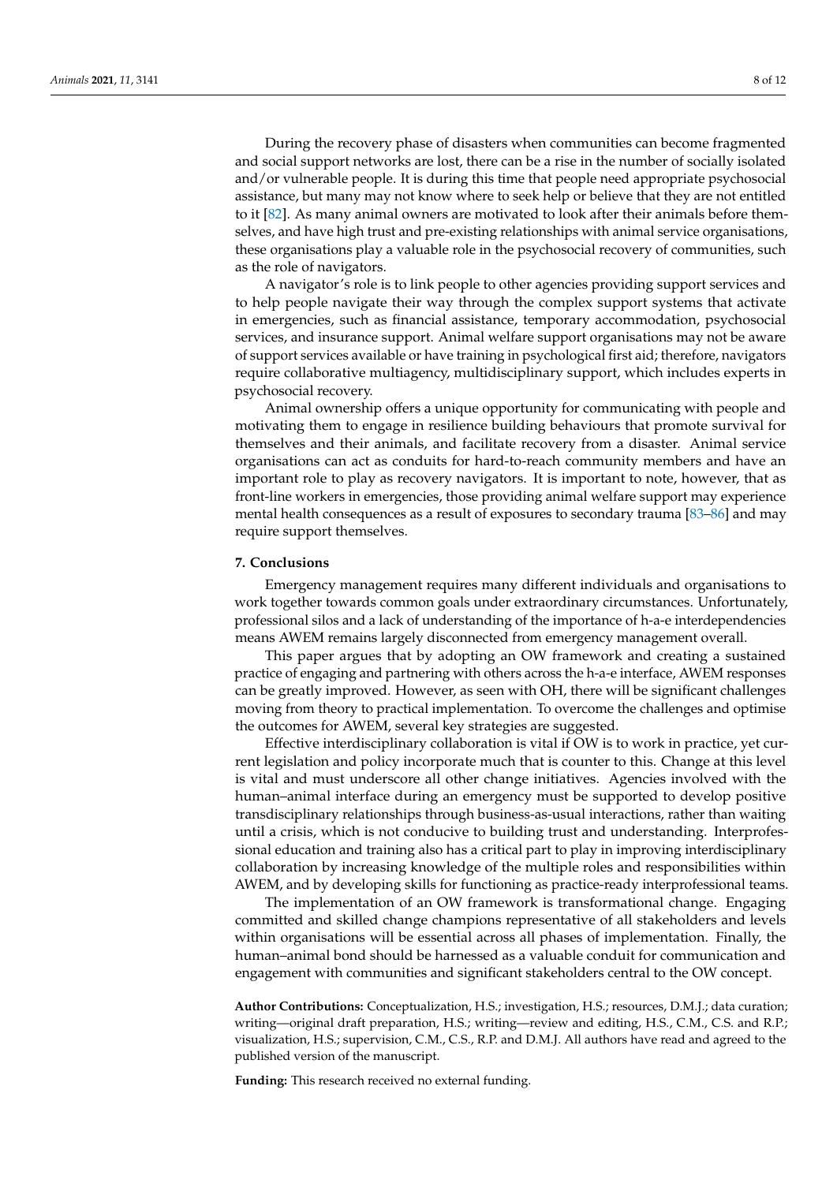During the recovery phase of disasters when communities can become fragmented and social support networks are lost, there can be a rise in the number of socially isolated and/or vulnerable people. It is during this time that people need appropriate psychosocial assistance, but many may not know where to seek help or believe that they are not entitled to it [\[82\]](#page-11-3). As many animal owners are motivated to look after their animals before themselves, and have high trust and pre-existing relationships with animal service organisations, these organisations play a valuable role in the psychosocial recovery of communities, such as the role of navigators.

A navigator's role is to link people to other agencies providing support services and to help people navigate their way through the complex support systems that activate in emergencies, such as financial assistance, temporary accommodation, psychosocial services, and insurance support. Animal welfare support organisations may not be aware of support services available or have training in psychological first aid; therefore, navigators require collaborative multiagency, multidisciplinary support, which includes experts in psychosocial recovery.

Animal ownership offers a unique opportunity for communicating with people and motivating them to engage in resilience building behaviours that promote survival for themselves and their animals, and facilitate recovery from a disaster. Animal service organisations can act as conduits for hard-to-reach community members and have an important role to play as recovery navigators. It is important to note, however, that as front-line workers in emergencies, those providing animal welfare support may experience mental health consequences as a result of exposures to secondary trauma [\[83–](#page-11-4)[86\]](#page-11-5) and may require support themselves.

## **7. Conclusions**

Emergency management requires many different individuals and organisations to work together towards common goals under extraordinary circumstances. Unfortunately, professional silos and a lack of understanding of the importance of h-a-e interdependencies means AWEM remains largely disconnected from emergency management overall.

This paper argues that by adopting an OW framework and creating a sustained practice of engaging and partnering with others across the h-a-e interface, AWEM responses can be greatly improved. However, as seen with OH, there will be significant challenges moving from theory to practical implementation. To overcome the challenges and optimise the outcomes for AWEM, several key strategies are suggested.

Effective interdisciplinary collaboration is vital if OW is to work in practice, yet current legislation and policy incorporate much that is counter to this. Change at this level is vital and must underscore all other change initiatives. Agencies involved with the human–animal interface during an emergency must be supported to develop positive transdisciplinary relationships through business-as-usual interactions, rather than waiting until a crisis, which is not conducive to building trust and understanding. Interprofessional education and training also has a critical part to play in improving interdisciplinary collaboration by increasing knowledge of the multiple roles and responsibilities within AWEM, and by developing skills for functioning as practice-ready interprofessional teams.

The implementation of an OW framework is transformational change. Engaging committed and skilled change champions representative of all stakeholders and levels within organisations will be essential across all phases of implementation. Finally, the human–animal bond should be harnessed as a valuable conduit for communication and engagement with communities and significant stakeholders central to the OW concept.

**Author Contributions:** Conceptualization, H.S.; investigation, H.S.; resources, D.M.J.; data curation; writing—original draft preparation, H.S.; writing—review and editing, H.S., C.M., C.S. and R.P.; visualization, H.S.; supervision, C.M., C.S., R.P. and D.M.J. All authors have read and agreed to the published version of the manuscript.

**Funding:** This research received no external funding.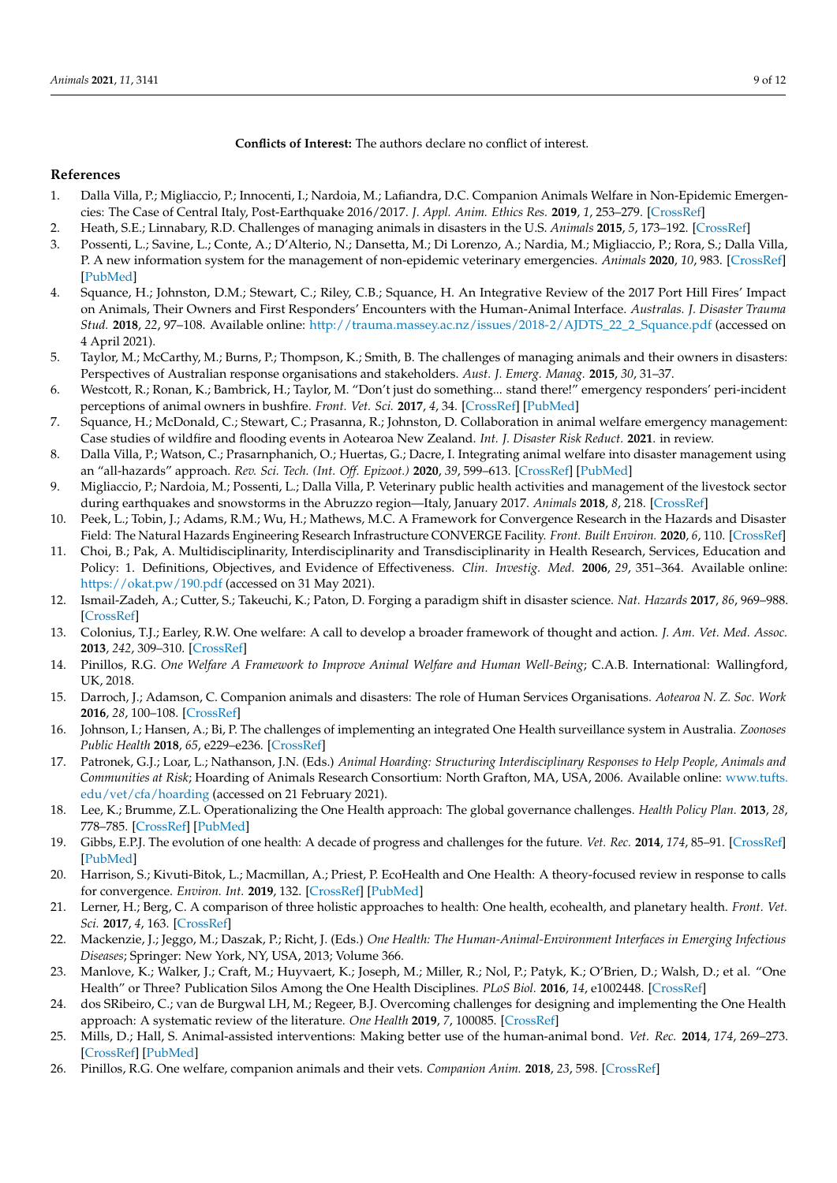**Conflicts of Interest:** The authors declare no conflict of interest.

## **References**

- <span id="page-8-0"></span>1. Dalla Villa, P.; Migliaccio, P.; Innocenti, I.; Nardoia, M.; Lafiandra, D.C. Companion Animals Welfare in Non-Epidemic Emergencies: The Case of Central Italy, Post-Earthquake 2016/2017. *J. Appl. Anim. Ethics Res.* **2019**, *1*, 253–279. [\[CrossRef\]](http://doi.org/10.1163/25889567-12340012)
- <span id="page-8-22"></span>2. Heath, S.E.; Linnabary, R.D. Challenges of managing animals in disasters in the U.S. *Animals* **2015**, *5*, 173–192. [\[CrossRef\]](http://doi.org/10.3390/ani5020173)
- 3. Possenti, L.; Savine, L.; Conte, A.; D'Alterio, N.; Dansetta, M.; Di Lorenzo, A.; Nardia, M.; Migliaccio, P.; Rora, S.; Dalla Villa, P. A new information system for the management of non-epidemic veterinary emergencies. *Animals* **2020**, *10*, 983. [\[CrossRef\]](http://doi.org/10.3390/ani10060983) [\[PubMed\]](http://www.ncbi.nlm.nih.gov/pubmed/32517100)
- <span id="page-8-3"></span>4. Squance, H.; Johnston, D.M.; Stewart, C.; Riley, C.B.; Squance, H. An Integrative Review of the 2017 Port Hill Fires' Impact on Animals, Their Owners and First Responders' Encounters with the Human-Animal Interface. *Australas. J. Disaster Trauma Stud.* **2018**, *22*, 97–108. Available online: [http://trauma.massey.ac.nz/issues/2018-2/AJDTS\\_22\\_2\\_Squance.pdf](http://trauma.massey.ac.nz/issues/2018-2/AJDTS_22_2_Squance.pdf) (accessed on 4 April 2021).
- 5. Taylor, M.; McCarthy, M.; Burns, P.; Thompson, K.; Smith, B. The challenges of managing animals and their owners in disasters: Perspectives of Australian response organisations and stakeholders. *Aust. J. Emerg. Manag.* **2015**, *30*, 31–37.
- <span id="page-8-1"></span>6. Westcott, R.; Ronan, K.; Bambrick, H.; Taylor, M. "Don't just do something... stand there!" emergency responders' peri-incident perceptions of animal owners in bushfire. *Front. Vet. Sci.* **2017**, *4*, 34. [\[CrossRef\]](http://doi.org/10.3389/fvets.2017.00034) [\[PubMed\]](http://www.ncbi.nlm.nih.gov/pubmed/28361058)
- <span id="page-8-2"></span>7. Squance, H.; McDonald, C.; Stewart, C.; Prasanna, R.; Johnston, D. Collaboration in animal welfare emergency management: Case studies of wildfire and flooding events in Aotearoa New Zealand. *Int. J. Disaster Risk Reduct.* **2021**. in review.
- <span id="page-8-20"></span>8. Dalla Villa, P.; Watson, C.; Prasarnphanich, O.; Huertas, G.; Dacre, I. Integrating animal welfare into disaster management using an "all-hazards" approach. *Rev. Sci. Tech. (Int. Off. Epizoot.)* **2020**, *39*, 599–613. [\[CrossRef\]](http://doi.org/10.20506/rst.39.2.3110) [\[PubMed\]](http://www.ncbi.nlm.nih.gov/pubmed/33046916)
- <span id="page-8-4"></span>9. Migliaccio, P.; Nardoia, M.; Possenti, L.; Dalla Villa, P. Veterinary public health activities and management of the livestock sector during earthquakes and snowstorms in the Abruzzo region—Italy, January 2017. *Animals* **2018**, *8*, 218. [\[CrossRef\]](http://doi.org/10.3390/ani8110218)
- <span id="page-8-5"></span>10. Peek, L.; Tobin, J.; Adams, R.M.; Wu, H.; Mathews, M.C. A Framework for Convergence Research in the Hazards and Disaster Field: The Natural Hazards Engineering Research Infrastructure CONVERGE Facility. *Front. Built Environ.* **2020**, *6*, 110. [\[CrossRef\]](http://doi.org/10.3389/fbuil.2020.00110)
- <span id="page-8-6"></span>11. Choi, B.; Pak, A. Multidisciplinarity, Interdisciplinarity and Transdisciplinarity in Health Research, Services, Education and Policy: 1. Definitions, Objectives, and Evidence of Effectiveness. *Clin. Investig. Med.* **2006**, *29*, 351–364. Available online: <https://okat.pw/190.pdf> (accessed on 31 May 2021).
- <span id="page-8-7"></span>12. Ismail-Zadeh, A.; Cutter, S.; Takeuchi, K.; Paton, D. Forging a paradigm shift in disaster science. *Nat. Hazards* **2017**, *86*, 969–988. [\[CrossRef\]](http://doi.org/10.1007/s11069-016-2726-x)
- <span id="page-8-8"></span>13. Colonius, T.J.; Earley, R.W. One welfare: A call to develop a broader framework of thought and action. *J. Am. Vet. Med. Assoc.* **2013**, *242*, 309–310. [\[CrossRef\]](http://doi.org/10.2460/javma.242.3.309)
- <span id="page-8-9"></span>14. Pinillos, R.G. *One Welfare A Framework to Improve Animal Welfare and Human Well-Being*; C.A.B. International: Wallingford, UK, 2018.
- <span id="page-8-10"></span>15. Darroch, J.; Adamson, C. Companion animals and disasters: The role of Human Services Organisations. *Aotearoa N. Z. Soc. Work* **2016**, *28*, 100–108. [\[CrossRef\]](http://doi.org/10.11157/anzswj-vol28iss4id189)
- <span id="page-8-15"></span>16. Johnson, I.; Hansen, A.; Bi, P. The challenges of implementing an integrated One Health surveillance system in Australia. *Zoonoses Public Health* **2018**, *65*, e229–e236. [\[CrossRef\]](http://doi.org/10.1111/zph.12433)
- <span id="page-8-11"></span>17. Patronek, G.J.; Loar, L.; Nathanson, J.N. (Eds.) *Animal Hoarding: Structuring Interdisciplinary Responses to Help People, Animals and Communities at Risk*; Hoarding of Animals Research Consortium: North Grafton, MA, USA, 2006. Available online: [www.tufts.](www.tufts.edu/vet/cfa/hoarding) [edu/vet/cfa/hoarding](www.tufts.edu/vet/cfa/hoarding) (accessed on 21 February 2021).
- <span id="page-8-12"></span>18. Lee, K.; Brumme, Z.L. Operationalizing the One Health approach: The global governance challenges. *Health Policy Plan.* **2013**, *28*, 778–785. [\[CrossRef\]](http://doi.org/10.1093/heapol/czs127) [\[PubMed\]](http://www.ncbi.nlm.nih.gov/pubmed/23221123)
- <span id="page-8-13"></span>19. Gibbs, E.P.J. The evolution of one health: A decade of progress and challenges for the future. *Vet. Rec.* **2014**, *174*, 85–91. [\[CrossRef\]](http://doi.org/10.1136/vr.g143) [\[PubMed\]](http://www.ncbi.nlm.nih.gov/pubmed/24464377)
- 20. Harrison, S.; Kivuti-Bitok, L.; Macmillan, A.; Priest, P. EcoHealth and One Health: A theory-focused review in response to calls for convergence. *Environ. Int.* **2019**, 132. [\[CrossRef\]](http://doi.org/10.1016/j.envint.2019.105058) [\[PubMed\]](http://www.ncbi.nlm.nih.gov/pubmed/31473414)
- <span id="page-8-17"></span>21. Lerner, H.; Berg, C. A comparison of three holistic approaches to health: One health, ecohealth, and planetary health. *Front. Vet. Sci.* **2017**, *4*, 163. [\[CrossRef\]](http://doi.org/10.3389/fvets.2017.00163)
- <span id="page-8-21"></span>22. Mackenzie, J.; Jeggo, M.; Daszak, P.; Richt, J. (Eds.) *One Health: The Human-Animal-Environment Interfaces in Emerging Infectious Diseases*; Springer: New York, NY, USA, 2013; Volume 366.
- <span id="page-8-14"></span>23. Manlove, K.; Walker, J.; Craft, M.; Huyvaert, K.; Joseph, M.; Miller, R.; Nol, P.; Patyk, K.; O'Brien, D.; Walsh, D.; et al. "One Health" or Three? Publication Silos Among the One Health Disciplines. *PLoS Biol.* **2016**, *14*, e1002448. [\[CrossRef\]](http://doi.org/10.1371/journal.pbio.1002448)
- <span id="page-8-16"></span>24. dos SRibeiro, C.; van de Burgwal LH, M.; Regeer, B.J. Overcoming challenges for designing and implementing the One Health approach: A systematic review of the literature. *One Health* **2019**, *7*, 100085. [\[CrossRef\]](http://doi.org/10.1016/j.onehlt.2019.100085)
- <span id="page-8-18"></span>25. Mills, D.; Hall, S. Animal-assisted interventions: Making better use of the human-animal bond. *Vet. Rec.* **2014**, *174*, 269–273. [\[CrossRef\]](http://doi.org/10.1136/vr.g1929) [\[PubMed\]](http://www.ncbi.nlm.nih.gov/pubmed/24627508)
- <span id="page-8-19"></span>26. Pinillos, R.G. One welfare, companion animals and their vets. *Companion Anim.* **2018**, *23*, 598. [\[CrossRef\]](http://doi.org/10.12968/coan.2018.23.10.598)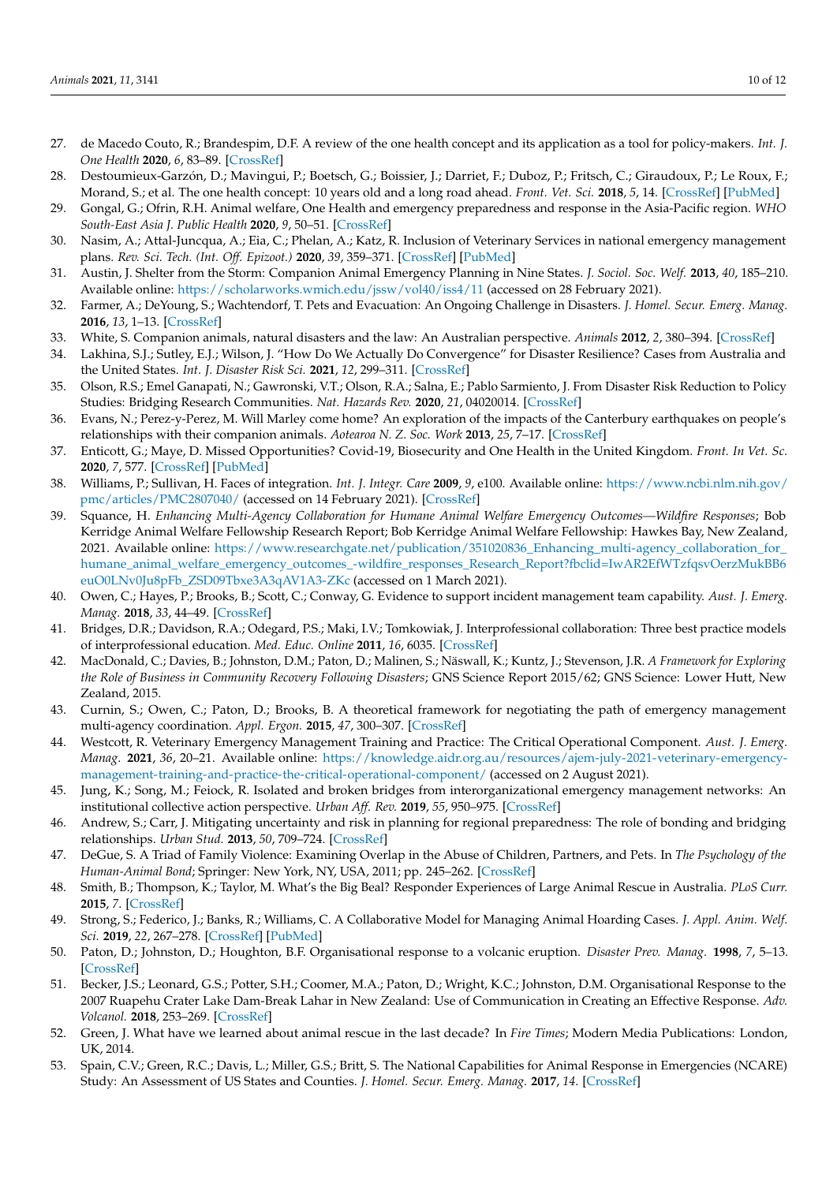- <span id="page-9-0"></span>27. de Macedo Couto, R.; Brandespim, D.F. A review of the one health concept and its application as a tool for policy-makers. *Int. J. One Health* **2020**, *6*, 83–89. [\[CrossRef\]](http://doi.org/10.14202/IJOH.2020.83-89)
- <span id="page-9-1"></span>28. Destoumieux-Garzón, D.; Mavingui, P.; Boetsch, G.; Boissier, J.; Darriet, F.; Duboz, P.; Fritsch, C.; Giraudoux, P.; Le Roux, F.; Morand, S.; et al. The one health concept: 10 years old and a long road ahead. *Front. Vet. Sci.* **2018**, *5*, 14. [\[CrossRef\]](http://doi.org/10.3389/fvets.2018.00014) [\[PubMed\]](http://www.ncbi.nlm.nih.gov/pubmed/29484301)
- <span id="page-9-2"></span>29. Gongal, G.; Ofrin, R.H. Animal welfare, One Health and emergency preparedness and response in the Asia-Pacific region. *WHO South-East Asia J. Public Health* **2020**, *9*, 50–51. [\[CrossRef\]](http://doi.org/10.4103/2224-3151.282996)
- <span id="page-9-3"></span>30. Nasim, A.; Attal-Juncqua, A.; Eia, C.; Phelan, A.; Katz, R. Inclusion of Veterinary Services in national emergency management plans. *Rev. Sci. Tech. (Int. Off. Epizoot.)* **2020**, *39*, 359–371. [\[CrossRef\]](http://doi.org/10.20506/rst.39.2.3087) [\[PubMed\]](http://www.ncbi.nlm.nih.gov/pubmed/33046939)
- <span id="page-9-4"></span>31. Austin, J. Shelter from the Storm: Companion Animal Emergency Planning in Nine States. *J. Sociol. Soc. Welf.* **2013**, *40*, 185–210. Available online: <https://scholarworks.wmich.edu/jssw/vol40/iss4/11> (accessed on 28 February 2021).
- <span id="page-9-5"></span>32. Farmer, A.; DeYoung, S.; Wachtendorf, T. Pets and Evacuation: An Ongoing Challenge in Disasters. *J. Homel. Secur. Emerg. Manag.* **2016**, *13*, 1–13. [\[CrossRef\]](http://doi.org/10.1515/jhsem-2016-0051)
- <span id="page-9-6"></span>33. White, S. Companion animals, natural disasters and the law: An Australian perspective. *Animals* **2012**, *2*, 380–394. [\[CrossRef\]](http://doi.org/10.3390/ani2030380)
- <span id="page-9-7"></span>34. Lakhina, S.J.; Sutley, E.J.; Wilson, J. "How Do We Actually Do Convergence" for Disaster Resilience? Cases from Australia and the United States. *Int. J. Disaster Risk Sci.* **2021**, *12*, 299–311. [\[CrossRef\]](http://doi.org/10.1007/s13753-021-00340-y)
- <span id="page-9-8"></span>35. Olson, R.S.; Emel Ganapati, N.; Gawronski, V.T.; Olson, R.A.; Salna, E.; Pablo Sarmiento, J. From Disaster Risk Reduction to Policy Studies: Bridging Research Communities. *Nat. Hazards Rev.* **2020**, *21*, 04020014. [\[CrossRef\]](http://doi.org/10.1061/(ASCE)NH.1527-6996.0000365)
- <span id="page-9-9"></span>36. Evans, N.; Perez-y-Perez, M. Will Marley come home? An exploration of the impacts of the Canterbury earthquakes on people's relationships with their companion animals. *Aotearoa N. Z. Soc. Work* **2013**, *25*, 7–17. [\[CrossRef\]](http://doi.org/10.11157/anzswj-vol25iss2id76)
- <span id="page-9-10"></span>37. Enticott, G.; Maye, D. Missed Opportunities? Covid-19, Biosecurity and One Health in the United Kingdom. *Front. In Vet. Sc.* **2020**, *7*, 577. [\[CrossRef\]](http://doi.org/10.3389/fvets.2020.00577) [\[PubMed\]](http://www.ncbi.nlm.nih.gov/pubmed/33005644)
- <span id="page-9-11"></span>38. Williams, P.; Sullivan, H. Faces of integration. *Int. J. Integr. Care* **2009**, *9*, e100. Available online: [https://www.ncbi.nlm.nih.gov/](https://www.ncbi.nlm.nih.gov/pmc/articles/PMC2807040/) [pmc/articles/PMC2807040/](https://www.ncbi.nlm.nih.gov/pmc/articles/PMC2807040/) (accessed on 14 February 2021). [\[CrossRef\]](http://doi.org/10.5334/ijic.509)
- <span id="page-9-12"></span>39. Squance, H. *Enhancing Multi-Agency Collaboration for Humane Animal Welfare Emergency Outcomes—Wildfire Responses*; Bob Kerridge Animal Welfare Fellowship Research Report; Bob Kerridge Animal Welfare Fellowship: Hawkes Bay, New Zealand, 2021. Available online: [https://www.researchgate.net/publication/351020836\\_Enhancing\\_multi-agency\\_collaboration\\_for\\_](https://www.researchgate.net/publication/351020836_Enhancing_multi-agency_collaboration_for_humane_animal_welfare_emergency_outcomes_-wildfire_responses_Research_Report?fbclid=IwAR2EfWTzfqsvOerzMukBB6euO0LNv0Ju8pFb_ZSD09Tbxe3A3qAV1A3-ZKc) [humane\\_animal\\_welfare\\_emergency\\_outcomes\\_-wildfire\\_responses\\_Research\\_Report?fbclid=IwAR2EfWTzfqsvOerzMukBB6](https://www.researchgate.net/publication/351020836_Enhancing_multi-agency_collaboration_for_humane_animal_welfare_emergency_outcomes_-wildfire_responses_Research_Report?fbclid=IwAR2EfWTzfqsvOerzMukBB6euO0LNv0Ju8pFb_ZSD09Tbxe3A3qAV1A3-ZKc) [euO0LNv0Ju8pFb\\_ZSD09Tbxe3A3qAV1A3-ZKc](https://www.researchgate.net/publication/351020836_Enhancing_multi-agency_collaboration_for_humane_animal_welfare_emergency_outcomes_-wildfire_responses_Research_Report?fbclid=IwAR2EfWTzfqsvOerzMukBB6euO0LNv0Ju8pFb_ZSD09Tbxe3A3qAV1A3-ZKc) (accessed on 1 March 2021).
- <span id="page-9-13"></span>40. Owen, C.; Hayes, P.; Brooks, B.; Scott, C.; Conway, G. Evidence to support incident management team capability. *Aust. J. Emerg. Manag.* **2018**, *33*, 44–49. [\[CrossRef\]](http://doi.org/10.3316/ielapa.792881583519986)
- <span id="page-9-14"></span>41. Bridges, D.R.; Davidson, R.A.; Odegard, P.S.; Maki, I.V.; Tomkowiak, J. Interprofessional collaboration: Three best practice models of interprofessional education. *Med. Educ. Online* **2011**, *16*, 6035. [\[CrossRef\]](http://doi.org/10.3402/meo.v16i0.6035)
- <span id="page-9-15"></span>42. MacDonald, C.; Davies, B.; Johnston, D.M.; Paton, D.; Malinen, S.; Näswall, K.; Kuntz, J.; Stevenson, J.R. *A Framework for Exploring the Role of Business in Community Recovery Following Disasters*; GNS Science Report 2015/62; GNS Science: Lower Hutt, New Zealand, 2015.
- <span id="page-9-16"></span>43. Curnin, S.; Owen, C.; Paton, D.; Brooks, B. A theoretical framework for negotiating the path of emergency management multi-agency coordination. *Appl. Ergon.* **2015**, *47*, 300–307. [\[CrossRef\]](http://doi.org/10.1016/j.apergo.2014.10.014)
- <span id="page-9-17"></span>44. Westcott, R. Veterinary Emergency Management Training and Practice: The Critical Operational Component. *Aust. J. Emerg. Manag.* **2021**, *36*, 20–21. Available online: [https://knowledge.aidr.org.au/resources/ajem-july-2021-veterinary-emergency](https://knowledge.aidr.org.au/resources/ajem-july-2021-veterinary-emergency-management-training-and-practice-the-critical-operational-component/)[management-training-and-practice-the-critical-operational-component/](https://knowledge.aidr.org.au/resources/ajem-july-2021-veterinary-emergency-management-training-and-practice-the-critical-operational-component/) (accessed on 2 August 2021).
- <span id="page-9-18"></span>45. Jung, K.; Song, M.; Feiock, R. Isolated and broken bridges from interorganizational emergency management networks: An institutional collective action perspective. *Urban Aff. Rev.* **2019**, *55*, 950–975. [\[CrossRef\]](http://doi.org/10.1177/1078087417690257)
- <span id="page-9-19"></span>46. Andrew, S.; Carr, J. Mitigating uncertainty and risk in planning for regional preparedness: The role of bonding and bridging relationships. *Urban Stud.* **2013**, *50*, 709–724. [\[CrossRef\]](http://doi.org/10.1177/0042098012455718)
- <span id="page-9-20"></span>47. DeGue, S. A Triad of Family Violence: Examining Overlap in the Abuse of Children, Partners, and Pets. In *The Psychology of the Human-Animal Bond*; Springer: New York, NY, USA, 2011; pp. 245–262. [\[CrossRef\]](http://doi.org/10.1007/978-1-4419-9761-6_14)
- <span id="page-9-26"></span>48. Smith, B.; Thompson, K.; Taylor, M. What's the Big Beal? Responder Experiences of Large Animal Rescue in Australia. *PLoS Curr.* **2015**, *7*. [\[CrossRef\]](http://doi.org/10.1371/currents.dis.71d34082943fa239dbfbf9597232c8a5)
- <span id="page-9-21"></span>49. Strong, S.; Federico, J.; Banks, R.; Williams, C. A Collaborative Model for Managing Animal Hoarding Cases. *J. Appl. Anim. Welf. Sci.* **2019**, *22*, 267–278. [\[CrossRef\]](http://doi.org/10.1080/10888705.2018.1490183) [\[PubMed\]](http://www.ncbi.nlm.nih.gov/pubmed/30021473)
- <span id="page-9-22"></span>50. Paton, D.; Johnston, D.; Houghton, B.F. Organisational response to a volcanic eruption. *Disaster Prev. Manag.* **1998**, *7*, 5–13. [\[CrossRef\]](http://doi.org/10.1108/09653569810206226)
- <span id="page-9-23"></span>51. Becker, J.S.; Leonard, G.S.; Potter, S.H.; Coomer, M.A.; Paton, D.; Wright, K.C.; Johnston, D.M. Organisational Response to the 2007 Ruapehu Crater Lake Dam-Break Lahar in New Zealand: Use of Communication in Creating an Effective Response. *Adv. Volcanol.* **2018**, 253–269. [\[CrossRef\]](http://doi.org/10.1007/11157_2016_38)
- <span id="page-9-24"></span>52. Green, J. What have we learned about animal rescue in the last decade? In *Fire Times*; Modern Media Publications: London, UK, 2014.
- <span id="page-9-25"></span>53. Spain, C.V.; Green, R.C.; Davis, L.; Miller, G.S.; Britt, S. The National Capabilities for Animal Response in Emergencies (NCARE) Study: An Assessment of US States and Counties. *J. Homel. Secur. Emerg. Manag.* **2017**, *14*. [\[CrossRef\]](http://doi.org/10.1515/jhsem-2017-0014)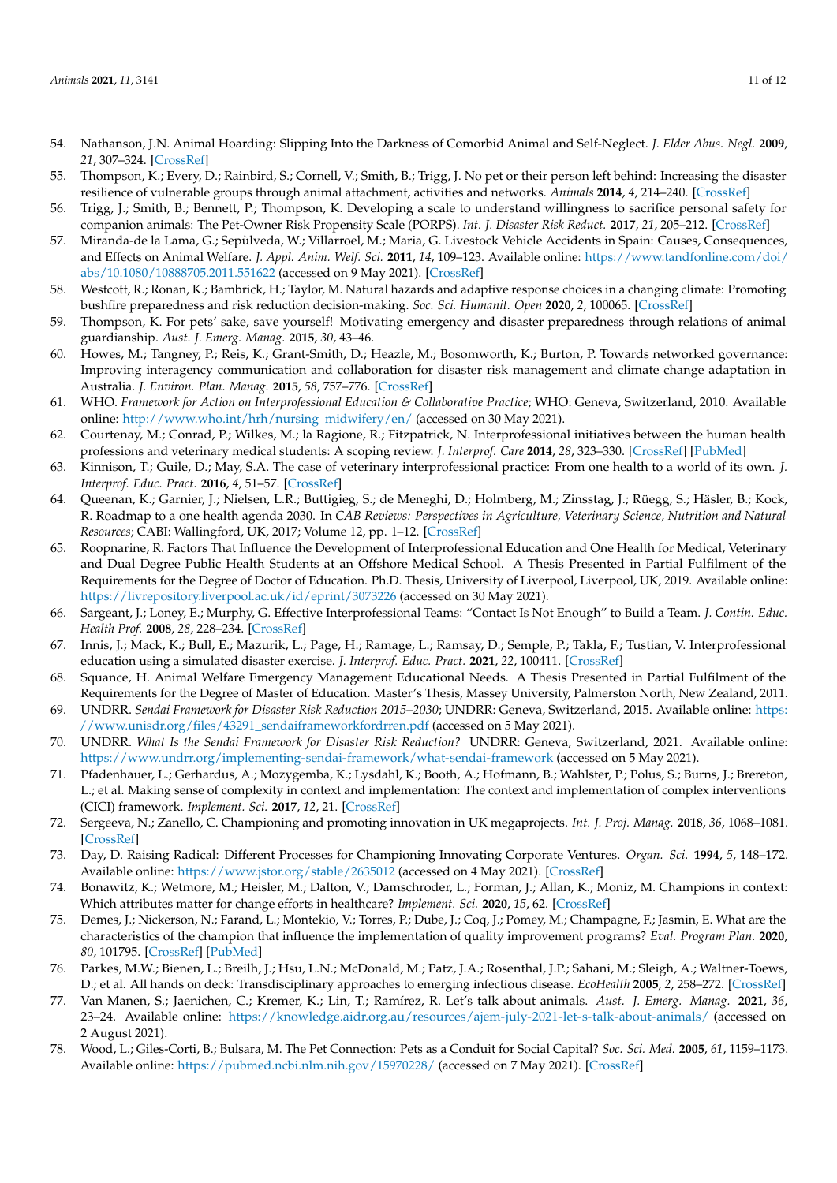- <span id="page-10-0"></span>54. Nathanson, J.N. Animal Hoarding: Slipping Into the Darkness of Comorbid Animal and Self-Neglect. *J. Elder Abus. Negl.* **2009**, *21*, 307–324. [\[CrossRef\]](http://doi.org/10.1080/08946560903004839)
- <span id="page-10-1"></span>55. Thompson, K.; Every, D.; Rainbird, S.; Cornell, V.; Smith, B.; Trigg, J. No pet or their person left behind: Increasing the disaster resilience of vulnerable groups through animal attachment, activities and networks. *Animals* **2014**, *4*, 214–240. [\[CrossRef\]](http://doi.org/10.3390/ani4020214)
- <span id="page-10-2"></span>56. Trigg, J.; Smith, B.; Bennett, P.; Thompson, K. Developing a scale to understand willingness to sacrifice personal safety for companion animals: The Pet-Owner Risk Propensity Scale (PORPS). *Int. J. Disaster Risk Reduct.* **2017**, *21*, 205–212. [\[CrossRef\]](http://doi.org/10.1016/j.ijdrr.2016.12.004)
- <span id="page-10-3"></span>57. Miranda-de la Lama, G.; Sepùlveda, W.; Villarroel, M.; Maria, G. Livestock Vehicle Accidents in Spain: Causes, Consequences, and Effects on Animal Welfare. *J. Appl. Anim. Welf. Sci.* **2011**, *14*, 109–123. Available online: [https://www.tandfonline.com/doi/](https://www.tandfonline.com/doi/abs/10.1080/10888705.2011.551622) [abs/10.1080/10888705.2011.551622](https://www.tandfonline.com/doi/abs/10.1080/10888705.2011.551622) (accessed on 9 May 2021). [\[CrossRef\]](http://doi.org/10.1080/10888705.2011.551622)
- <span id="page-10-4"></span>58. Westcott, R.; Ronan, K.; Bambrick, H.; Taylor, M. Natural hazards and adaptive response choices in a changing climate: Promoting bushfire preparedness and risk reduction decision-making. *Soc. Sci. Humanit. Open* **2020**, *2*, 100065. [\[CrossRef\]](http://doi.org/10.1016/j.ssaho.2020.100065)
- <span id="page-10-5"></span>59. Thompson, K. For pets' sake, save yourself! Motivating emergency and disaster preparedness through relations of animal guardianship. *Aust. J. Emerg. Manag.* **2015**, *30*, 43–46.
- <span id="page-10-6"></span>60. Howes, M.; Tangney, P.; Reis, K.; Grant-Smith, D.; Heazle, M.; Bosomworth, K.; Burton, P. Towards networked governance: Improving interagency communication and collaboration for disaster risk management and climate change adaptation in Australia. *J. Environ. Plan. Manag.* **2015**, *58*, 757–776. [\[CrossRef\]](http://doi.org/10.1080/09640568.2014.891974)
- <span id="page-10-7"></span>61. WHO. *Framework for Action on Interprofessional Education & Collaborative Practice*; WHO: Geneva, Switzerland, 2010. Available online: [http://www.who.int/hrh/nursing\\_midwifery/en/](http://www.who.int/hrh/nursing_midwifery/en/) (accessed on 30 May 2021).
- <span id="page-10-9"></span>62. Courtenay, M.; Conrad, P.; Wilkes, M.; la Ragione, R.; Fitzpatrick, N. Interprofessional initiatives between the human health professions and veterinary medical students: A scoping review. *J. Interprof. Care* **2014**, *28*, 323–330. [\[CrossRef\]](http://doi.org/10.3109/13561820.2014.895979) [\[PubMed\]](http://www.ncbi.nlm.nih.gov/pubmed/24621114)
- <span id="page-10-8"></span>63. Kinnison, T.; Guile, D.; May, S.A. The case of veterinary interprofessional practice: From one health to a world of its own. *J. Interprof. Educ. Pract.* **2016**, *4*, 51–57. [\[CrossRef\]](http://doi.org/10.1016/j.xjep.2016.05.005)
- <span id="page-10-10"></span>64. Queenan, K.; Garnier, J.; Nielsen, L.R.; Buttigieg, S.; de Meneghi, D.; Holmberg, M.; Zinsstag, J.; Rüegg, S.; Häsler, B.; Kock, R. Roadmap to a one health agenda 2030. In *CAB Reviews: Perspectives in Agriculture, Veterinary Science, Nutrition and Natural Resources*; CABI: Wallingford, UK, 2017; Volume 12, pp. 1–12. [\[CrossRef\]](http://doi.org/10.1079/PAVSNNR201712014)
- 65. Roopnarine, R. Factors That Influence the Development of Interprofessional Education and One Health for Medical, Veterinary and Dual Degree Public Health Students at an Offshore Medical School. A Thesis Presented in Partial Fulfilment of the Requirements for the Degree of Doctor of Education. Ph.D. Thesis, University of Liverpool, Liverpool, UK, 2019. Available online: <https://livrepository.liverpool.ac.uk/id/eprint/3073226> (accessed on 30 May 2021).
- <span id="page-10-11"></span>66. Sargeant, J.; Loney, E.; Murphy, G. Effective Interprofessional Teams: "Contact Is Not Enough" to Build a Team. *J. Contin. Educ. Health Prof.* **2008**, *28*, 228–234. [\[CrossRef\]](http://doi.org/10.1002/chp.189)
- <span id="page-10-12"></span>67. Innis, J.; Mack, K.; Bull, E.; Mazurik, L.; Page, H.; Ramage, L.; Ramsay, D.; Semple, P.; Takla, F.; Tustian, V. Interprofessional education using a simulated disaster exercise. *J. Interprof. Educ. Pract.* **2021**, *22*, 100411. [\[CrossRef\]](http://doi.org/10.1016/j.xjep.2020.100411)
- <span id="page-10-13"></span>68. Squance, H. Animal Welfare Emergency Management Educational Needs. A Thesis Presented in Partial Fulfilment of the Requirements for the Degree of Master of Education. Master's Thesis, Massey University, Palmerston North, New Zealand, 2011.
- <span id="page-10-14"></span>69. UNDRR. *Sendai Framework for Disaster Risk Reduction 2015–2030*; UNDRR: Geneva, Switzerland, 2015. Available online: [https:](https://www.unisdr.org/files/43291_sendaiframeworkfordrren.pdf) [//www.unisdr.org/files/43291\\_sendaiframeworkfordrren.pdf](https://www.unisdr.org/files/43291_sendaiframeworkfordrren.pdf) (accessed on 5 May 2021).
- <span id="page-10-15"></span>70. UNDRR. *What Is the Sendai Framework for Disaster Risk Reduction?* UNDRR: Geneva, Switzerland, 2021. Available online: <https://www.undrr.org/implementing-sendai-framework/what-sendai-framework> (accessed on 5 May 2021).
- <span id="page-10-16"></span>71. Pfadenhauer, L.; Gerhardus, A.; Mozygemba, K.; Lysdahl, K.; Booth, A.; Hofmann, B.; Wahlster, P.; Polus, S.; Burns, J.; Brereton, L.; et al. Making sense of complexity in context and implementation: The context and implementation of complex interventions (CICI) framework. *Implement. Sci.* **2017**, *12*, 21. [\[CrossRef\]](http://doi.org/10.1186/s13012-017-0552-5)
- <span id="page-10-17"></span>72. Sergeeva, N.; Zanello, C. Championing and promoting innovation in UK megaprojects. *Int. J. Proj. Manag.* **2018**, *36*, 1068–1081. [\[CrossRef\]](http://doi.org/10.1016/j.ijproman.2018.09.002)
- <span id="page-10-18"></span>73. Day, D. Raising Radical: Different Processes for Championing Innovating Corporate Ventures. *Organ. Sci.* **1994**, *5*, 148–172. Available online: <https://www.jstor.org/stable/2635012> (accessed on 4 May 2021). [\[CrossRef\]](http://doi.org/10.1287/orsc.5.2.148)
- <span id="page-10-19"></span>74. Bonawitz, K.; Wetmore, M.; Heisler, M.; Dalton, V.; Damschroder, L.; Forman, J.; Allan, K.; Moniz, M. Champions in context: Which attributes matter for change efforts in healthcare? *Implement. Sci.* **2020**, *15*, 62. [\[CrossRef\]](http://doi.org/10.1186/s13012-020-01024-9)
- <span id="page-10-20"></span>75. Demes, J.; Nickerson, N.; Farand, L.; Montekio, V.; Torres, P.; Dube, J.; Coq, J.; Pomey, M.; Champagne, F.; Jasmin, E. What are the characteristics of the champion that influence the implementation of quality improvement programs? *Eval. Program Plan.* **2020**, *80*, 101795. [\[CrossRef\]](http://doi.org/10.1016/j.evalprogplan.2020.101795) [\[PubMed\]](http://www.ncbi.nlm.nih.gov/pubmed/32087525)
- <span id="page-10-21"></span>76. Parkes, M.W.; Bienen, L.; Breilh, J.; Hsu, L.N.; McDonald, M.; Patz, J.A.; Rosenthal, J.P.; Sahani, M.; Sleigh, A.; Waltner-Toews, D.; et al. All hands on deck: Transdisciplinary approaches to emerging infectious disease. *EcoHealth* **2005**, *2*, 258–272. [\[CrossRef\]](http://doi.org/10.1007/s10393-005-8387-y)
- <span id="page-10-22"></span>77. Van Manen, S.; Jaenichen, C.; Kremer, K.; Lin, T.; Ramírez, R. Let's talk about animals. *Aust. J. Emerg. Manag.* **2021**, *36*, 23–24. Available online: <https://knowledge.aidr.org.au/resources/ajem-july-2021-let-s-talk-about-animals/> (accessed on 2 August 2021).
- <span id="page-10-23"></span>78. Wood, L.; Giles-Corti, B.; Bulsara, M. The Pet Connection: Pets as a Conduit for Social Capital? *Soc. Sci. Med.* **2005**, *61*, 1159–1173. Available online: <https://pubmed.ncbi.nlm.nih.gov/15970228/> (accessed on 7 May 2021). [\[CrossRef\]](http://doi.org/10.1016/j.socscimed.2005.01.017)